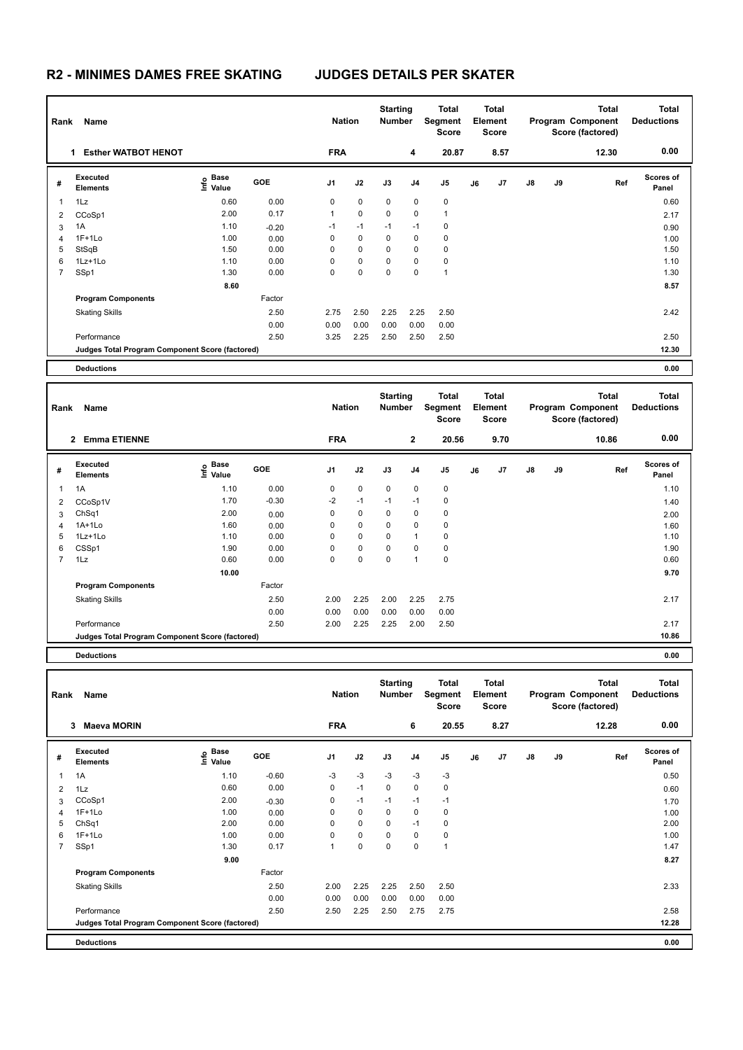| Rank | Name                                            |                   |            | <b>Nation</b>  |             | <b>Starting</b><br><b>Number</b> |                | Total<br>Segment<br><b>Score</b> |    | Total<br>Element<br><b>Score</b> |               |    | <b>Total</b><br>Program Component<br>Score (factored) | <b>Total</b><br><b>Deductions</b> |
|------|-------------------------------------------------|-------------------|------------|----------------|-------------|----------------------------------|----------------|----------------------------------|----|----------------------------------|---------------|----|-------------------------------------------------------|-----------------------------------|
|      | <b>Esther WATBOT HENOT</b><br>1.                |                   |            | <b>FRA</b>     |             |                                  | 4              | 20.87                            |    | 8.57                             |               |    | 12.30                                                 | 0.00                              |
| #    | <b>Executed</b><br><b>Elements</b>              | e Base<br>⊆ Value | <b>GOE</b> | J <sub>1</sub> | J2          | J3                               | J <sub>4</sub> | J5                               | J6 | J <sub>7</sub>                   | $\mathsf{J}8$ | J9 | Ref                                                   | <b>Scores of</b><br>Panel         |
| 1    | 1Lz                                             | 0.60              | 0.00       | 0              | $\mathbf 0$ | $\mathbf 0$                      | 0              | $\mathbf 0$                      |    |                                  |               |    |                                                       | 0.60                              |
| 2    | CCoSp1                                          | 2.00              | 0.17       | $\mathbf{1}$   | $\mathbf 0$ | $\Omega$                         | 0              | 1                                |    |                                  |               |    |                                                       | 2.17                              |
| 3    | 1A                                              | 1.10              | $-0.20$    | $-1$           | $-1$        | $-1$                             | $-1$           | 0                                |    |                                  |               |    |                                                       | 0.90                              |
| 4    | $1F+1Lo$                                        | 1.00              | 0.00       | 0              | $\mathbf 0$ | 0                                | 0              | 0                                |    |                                  |               |    |                                                       | 1.00                              |
| 5    | StSqB                                           | 1.50              | 0.00       | 0              | 0           | $\Omega$                         | 0              | 0                                |    |                                  |               |    |                                                       | 1.50                              |
| 6    | 1Lz+1Lo                                         | 1.10              | 0.00       | 0              | $\mathbf 0$ | $\Omega$                         | 0              | $\pmb{0}$                        |    |                                  |               |    |                                                       | 1.10                              |
| 7    | SSp1                                            | 1.30              | 0.00       | 0              | $\mathbf 0$ | $\mathbf 0$                      | $\mathbf 0$    | $\overline{1}$                   |    |                                  |               |    |                                                       | 1.30                              |
|      |                                                 | 8.60              |            |                |             |                                  |                |                                  |    |                                  |               |    |                                                       | 8.57                              |
|      | <b>Program Components</b>                       |                   | Factor     |                |             |                                  |                |                                  |    |                                  |               |    |                                                       |                                   |
|      | <b>Skating Skills</b>                           |                   | 2.50       | 2.75           | 2.50        | 2.25                             | 2.25           | 2.50                             |    |                                  |               |    |                                                       | 2.42                              |
|      |                                                 |                   | 0.00       | 0.00           | 0.00        | 0.00                             | 0.00           | 0.00                             |    |                                  |               |    |                                                       |                                   |
|      | Performance                                     |                   | 2.50       | 3.25           | 2.25        | 2.50                             | 2.50           | 2.50                             |    |                                  |               |    |                                                       | 2.50                              |
|      | Judges Total Program Component Score (factored) |                   |            |                |             |                                  |                |                                  |    |                                  |               |    |                                                       | 12.30                             |
|      | <b>Deductions</b>                               |                   |            |                |             |                                  |                |                                  |    |                                  |               |    |                                                       | 0.00                              |

| Rank           | Name                                            |                                  |            | <b>Nation</b>  |           | <b>Starting</b><br><b>Number</b> |                | Total<br>Segment<br><b>Score</b> |    | <b>Total</b><br>Element<br><b>Score</b> |               |    | <b>Total</b><br>Program Component<br>Score (factored) | <b>Total</b><br><b>Deductions</b> |
|----------------|-------------------------------------------------|----------------------------------|------------|----------------|-----------|----------------------------------|----------------|----------------------------------|----|-----------------------------------------|---------------|----|-------------------------------------------------------|-----------------------------------|
|                | <b>Emma ETIENNE</b><br>$\overline{2}$           |                                  |            | <b>FRA</b>     |           |                                  | $\mathbf{2}$   | 20.56                            |    | 9.70                                    |               |    | 10.86                                                 | 0.00                              |
| #              | Executed<br><b>Elements</b>                     | <b>Base</b><br>e Base<br>⊆ Value | <b>GOE</b> | J <sub>1</sub> | J2        | J3                               | J <sub>4</sub> | J5                               | J6 | J7                                      | $\mathsf{J}8$ | J9 | Ref                                                   | <b>Scores of</b><br>Panel         |
| 1              | 1A                                              | 1.10                             | 0.00       | 0              | 0         | $\mathbf 0$                      | 0              | 0                                |    |                                         |               |    |                                                       | 1.10                              |
| 2              | CCoSp1V                                         | 1.70                             | $-0.30$    | $-2$           | $-1$      | $-1$                             | $-1$           | 0                                |    |                                         |               |    |                                                       | 1.40                              |
| 3              | ChSq1                                           | 2.00                             | 0.00       | 0              | 0         | $\mathbf 0$                      | 0              | 0                                |    |                                         |               |    |                                                       | 2.00                              |
| 4              | $1A+1Lo$                                        | 1.60                             | 0.00       | 0              | 0         | $\mathbf 0$                      | 0              | 0                                |    |                                         |               |    |                                                       | 1.60                              |
| 5              | $1Lz+1Lo$                                       | 1.10                             | 0.00       | 0              | 0         | $\mathbf 0$                      | 1              | 0                                |    |                                         |               |    |                                                       | 1.10                              |
| 6              | CSSp1                                           | 1.90                             | 0.00       | 0              | 0         | $\mathbf 0$                      | 0              | 0                                |    |                                         |               |    |                                                       | 1.90                              |
| $\overline{7}$ | 1Lz                                             | 0.60                             | 0.00       | 0              | $\pmb{0}$ | $\mathbf 0$                      | 1              | $\mathbf 0$                      |    |                                         |               |    |                                                       | 0.60                              |
|                |                                                 | 10.00                            |            |                |           |                                  |                |                                  |    |                                         |               |    |                                                       | 9.70                              |
|                | <b>Program Components</b>                       |                                  | Factor     |                |           |                                  |                |                                  |    |                                         |               |    |                                                       |                                   |
|                | <b>Skating Skills</b>                           |                                  | 2.50       | 2.00           | 2.25      | 2.00                             | 2.25           | 2.75                             |    |                                         |               |    |                                                       | 2.17                              |
|                |                                                 |                                  | 0.00       | 0.00           | 0.00      | 0.00                             | 0.00           | 0.00                             |    |                                         |               |    |                                                       |                                   |
|                | Performance                                     |                                  | 2.50       | 2.00           | 2.25      | 2.25                             | 2.00           | 2.50                             |    |                                         |               |    |                                                       | 2.17                              |
|                | Judges Total Program Component Score (factored) |                                  |            |                |           |                                  |                |                                  |    |                                         |               |    |                                                       | 10.86                             |
|                | <b>Deductions</b>                               |                                  |            |                |           |                                  |                |                                  |    |                                         |               |    |                                                       | 0.00                              |

| Rank           | Name                                            |                   |            | <b>Nation</b>  |             | <b>Starting</b><br><b>Number</b> |                | <b>Total</b><br>Segment<br><b>Score</b> |    | <b>Total</b><br>Element<br><b>Score</b> |               |    | <b>Total</b><br>Program Component<br>Score (factored) | <b>Total</b><br><b>Deductions</b> |
|----------------|-------------------------------------------------|-------------------|------------|----------------|-------------|----------------------------------|----------------|-----------------------------------------|----|-----------------------------------------|---------------|----|-------------------------------------------------------|-----------------------------------|
|                | <b>Maeva MORIN</b><br>3                         |                   |            | <b>FRA</b>     |             |                                  | 6              | 20.55                                   |    | 8.27                                    |               |    | 12.28                                                 | 0.00                              |
| #              | <b>Executed</b><br><b>Elements</b>              | e Base<br>⊑ Value | <b>GOE</b> | J <sub>1</sub> | J2          | J3                               | J <sub>4</sub> | J <sub>5</sub>                          | J6 | J7                                      | $\mathsf{J}8$ | J9 | Ref                                                   | <b>Scores of</b><br>Panel         |
| 1              | 1A                                              | 1.10              | $-0.60$    | $-3$           | $-3$        | $-3$                             | $-3$           | $-3$                                    |    |                                         |               |    |                                                       | 0.50                              |
| 2              | 1Lz                                             | 0.60              | 0.00       | 0              | $-1$        | 0                                | $\mathbf 0$    | 0                                       |    |                                         |               |    |                                                       | 0.60                              |
| 3              | CCoSp1                                          | 2.00              | $-0.30$    | 0              | $-1$        | $-1$                             | $-1$           | $-1$                                    |    |                                         |               |    |                                                       | 1.70                              |
| 4              | $1F+1Lo$                                        | 1.00              | 0.00       | 0              | 0           | 0                                | $\mathbf 0$    | 0                                       |    |                                         |               |    |                                                       | 1.00                              |
| 5              | ChSq1                                           | 2.00              | 0.00       | 0              | $\mathbf 0$ | 0                                | $-1$           | 0                                       |    |                                         |               |    |                                                       | 2.00                              |
| 6              | $1F+1Lo$                                        | 1.00              | 0.00       | 0              | $\mathbf 0$ | 0                                | $\mathbf 0$    | 0                                       |    |                                         |               |    |                                                       | 1.00                              |
| $\overline{7}$ | SSp1                                            | 1.30              | 0.17       | 1              | $\mathbf 0$ | 0                                | 0              | $\overline{1}$                          |    |                                         |               |    |                                                       | 1.47                              |
|                |                                                 | 9.00              |            |                |             |                                  |                |                                         |    |                                         |               |    |                                                       | 8.27                              |
|                | <b>Program Components</b>                       |                   | Factor     |                |             |                                  |                |                                         |    |                                         |               |    |                                                       |                                   |
|                | <b>Skating Skills</b>                           |                   | 2.50       | 2.00           | 2.25        | 2.25                             | 2.50           | 2.50                                    |    |                                         |               |    |                                                       | 2.33                              |
|                |                                                 |                   | 0.00       | 0.00           | 0.00        | 0.00                             | 0.00           | 0.00                                    |    |                                         |               |    |                                                       |                                   |
|                | Performance                                     |                   | 2.50       | 2.50           | 2.25        | 2.50                             | 2.75           | 2.75                                    |    |                                         |               |    |                                                       | 2.58                              |
|                | Judges Total Program Component Score (factored) |                   |            |                |             |                                  |                |                                         |    |                                         |               |    |                                                       | 12.28                             |
|                | <b>Deductions</b>                               |                   |            |                |             |                                  |                |                                         |    |                                         |               |    |                                                       | 0.00                              |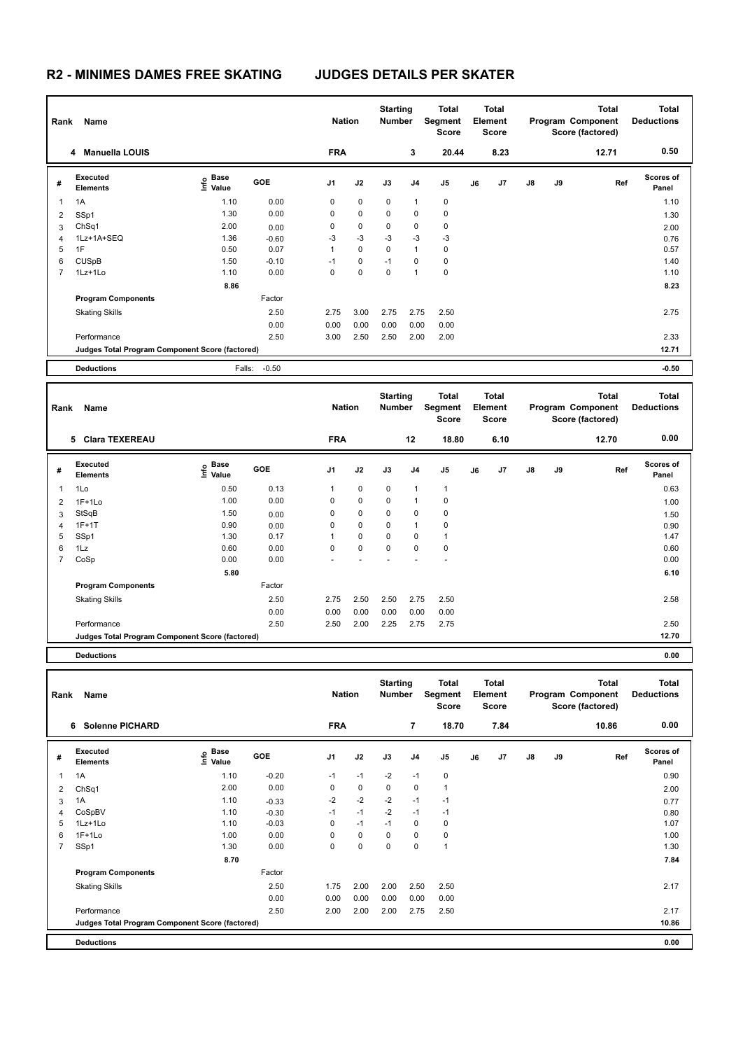| Rank           | Name                                            |                                  | <b>Nation</b> |                | <b>Starting</b><br><b>Number</b> |      | <b>Total</b><br>Segment<br><b>Score</b> |             | <b>Total</b><br>Element<br><b>Score</b> |      |               | <b>Total</b><br>Program Component<br>Score (factored) | <b>Total</b><br><b>Deductions</b> |                    |
|----------------|-------------------------------------------------|----------------------------------|---------------|----------------|----------------------------------|------|-----------------------------------------|-------------|-----------------------------------------|------|---------------|-------------------------------------------------------|-----------------------------------|--------------------|
|                | <b>Manuella LOUIS</b><br>4                      |                                  |               | <b>FRA</b>     |                                  |      | 3                                       | 20.44       |                                         | 8.23 |               |                                                       | 12.71                             | 0.50               |
| #              | Executed<br><b>Elements</b>                     | <b>Base</b><br>e Base<br>⊆ Value | <b>GOE</b>    | J <sub>1</sub> | J2                               | J3   | J <sub>4</sub>                          | J5          | J6                                      | J7   | $\mathsf{J}8$ | J9                                                    | Ref                               | Scores of<br>Panel |
| 1              | 1A                                              | 1.10                             | 0.00          | 0              | $\mathbf 0$                      | 0    | 1                                       | $\mathbf 0$ |                                         |      |               |                                                       |                                   | 1.10               |
| 2              | SSp1                                            | 1.30                             | 0.00          | 0              | $\mathbf 0$                      | 0    | 0                                       | $\mathbf 0$ |                                         |      |               |                                                       |                                   | 1.30               |
| 3              | ChSq1                                           | 2.00                             | 0.00          | 0              | $\pmb{0}$                        | 0    | 0                                       | 0           |                                         |      |               |                                                       |                                   | 2.00               |
| 4              | 1Lz+1A+SEQ                                      | 1.36                             | $-0.60$       | -3             | $-3$                             | $-3$ | $-3$                                    | $-3$        |                                         |      |               |                                                       |                                   | 0.76               |
| 5              | 1F                                              | 0.50                             | 0.07          | 1              | 0                                | 0    | 1                                       | $\mathbf 0$ |                                         |      |               |                                                       |                                   | 0.57               |
| 6              | <b>CUSpB</b>                                    | 1.50                             | $-0.10$       | $-1$           | $\mathbf 0$                      | $-1$ | 0                                       | 0           |                                         |      |               |                                                       |                                   | 1.40               |
| $\overline{7}$ | 1Lz+1Lo                                         | 1.10                             | 0.00          | 0              | 0                                | 0    | $\overline{\phantom{a}}$                | $\mathbf 0$ |                                         |      |               |                                                       |                                   | 1.10               |
|                |                                                 | 8.86                             |               |                |                                  |      |                                         |             |                                         |      |               |                                                       |                                   | 8.23               |
|                | <b>Program Components</b>                       |                                  | Factor        |                |                                  |      |                                         |             |                                         |      |               |                                                       |                                   |                    |
|                | <b>Skating Skills</b>                           |                                  | 2.50          | 2.75           | 3.00                             | 2.75 | 2.75                                    | 2.50        |                                         |      |               |                                                       |                                   | 2.75               |
|                |                                                 |                                  | 0.00          | 0.00           | 0.00                             | 0.00 | 0.00                                    | 0.00        |                                         |      |               |                                                       |                                   |                    |
|                | Performance                                     |                                  | 2.50          | 3.00           | 2.50                             | 2.50 | 2.00                                    | 2.00        |                                         |      |               |                                                       |                                   | 2.33               |
|                | Judges Total Program Component Score (factored) |                                  |               |                |                                  |      |                                         |             |                                         |      |               |                                                       |                                   | 12.71              |
|                | <b>Deductions</b>                               | Falls:                           | $-0.50$       |                |                                  |      |                                         |             |                                         |      |               |                                                       |                                   | $-0.50$            |

| Rank           | Name                                            |                                  |            | <b>Nation</b>  |             | <b>Starting</b><br><b>Number</b> |      | Total<br>Segment<br><b>Score</b> |    | <b>Total</b><br>Element<br><b>Score</b> |               |    | <b>Total</b><br>Program Component<br>Score (factored) | <b>Total</b><br><b>Deductions</b> |
|----------------|-------------------------------------------------|----------------------------------|------------|----------------|-------------|----------------------------------|------|----------------------------------|----|-----------------------------------------|---------------|----|-------------------------------------------------------|-----------------------------------|
|                | 5 Clara TEXEREAU                                |                                  |            | <b>FRA</b>     |             |                                  | 12   | 18.80                            |    | 6.10                                    |               |    | 12.70                                                 | 0.00                              |
| #              | <b>Executed</b><br><b>Elements</b>              | <b>Base</b><br>e Base<br>⊆ Value | <b>GOE</b> | J <sub>1</sub> | J2          | J3                               | J4   | J <sub>5</sub>                   | J6 | J7                                      | $\mathsf{J}8$ | J9 | Ref                                                   | <b>Scores of</b><br>Panel         |
| 1              | 1Lo                                             | 0.50                             | 0.13       | 1              | 0           | $\mathbf 0$                      | 1    | $\mathbf{1}$                     |    |                                         |               |    |                                                       | 0.63                              |
| 2              | $1F+1Lo$                                        | 1.00                             | 0.00       | 0              | $\mathbf 0$ | 0                                |      | 0                                |    |                                         |               |    |                                                       | 1.00                              |
| 3              | StSqB                                           | 1.50                             | 0.00       | 0              | $\mathbf 0$ | $\mathbf 0$                      | 0    | 0                                |    |                                         |               |    |                                                       | 1.50                              |
| 4              | $1F+1T$                                         | 0.90                             | 0.00       | 0              | $\mathbf 0$ | 0                                | 1    | 0                                |    |                                         |               |    |                                                       | 0.90                              |
| 5              | SSp1                                            | 1.30                             | 0.17       |                | $\mathbf 0$ | $\mathbf 0$                      | 0    | $\mathbf{1}$                     |    |                                         |               |    |                                                       | 1.47                              |
| 6              | 1Lz                                             | 0.60                             | 0.00       | $\mathbf 0$    | $\mathbf 0$ | $\mathbf 0$                      | 0    | $\pmb{0}$                        |    |                                         |               |    |                                                       | 0.60                              |
| $\overline{7}$ | CoSp                                            | 0.00                             | 0.00       |                |             |                                  |      | $\overline{\phantom{a}}$         |    |                                         |               |    |                                                       | 0.00                              |
|                |                                                 | 5.80                             |            |                |             |                                  |      |                                  |    |                                         |               |    |                                                       | 6.10                              |
|                | <b>Program Components</b>                       |                                  | Factor     |                |             |                                  |      |                                  |    |                                         |               |    |                                                       |                                   |
|                | <b>Skating Skills</b>                           |                                  | 2.50       | 2.75           | 2.50        | 2.50                             | 2.75 | 2.50                             |    |                                         |               |    |                                                       | 2.58                              |
|                |                                                 |                                  | 0.00       | 0.00           | 0.00        | 0.00                             | 0.00 | 0.00                             |    |                                         |               |    |                                                       |                                   |
|                | Performance                                     |                                  | 2.50       | 2.50           | 2.00        | 2.25                             | 2.75 | 2.75                             |    |                                         |               |    |                                                       | 2.50                              |
|                | Judges Total Program Component Score (factored) |                                  |            |                |             |                                  |      |                                  |    |                                         |               |    |                                                       | 12.70                             |
|                | <b>Deductions</b>                               |                                  |            |                |             |                                  |      |                                  |    |                                         |               |    |                                                       | 0.00                              |

| Rank           | Name                                            |                           |            | <b>Nation</b>  |             | <b>Starting</b><br><b>Number</b> |                | Total<br>Segment<br>Score |    | <b>Total</b><br>Element<br><b>Score</b> |               |    | <b>Total</b><br>Program Component<br>Score (factored) | <b>Total</b><br><b>Deductions</b> |
|----------------|-------------------------------------------------|---------------------------|------------|----------------|-------------|----------------------------------|----------------|---------------------------|----|-----------------------------------------|---------------|----|-------------------------------------------------------|-----------------------------------|
|                | <b>Solenne PICHARD</b><br>6                     |                           |            | <b>FRA</b>     |             |                                  | $\overline{7}$ | 18.70                     |    | 7.84                                    |               |    | 10.86                                                 | 0.00                              |
| #              | <b>Executed</b><br><b>Elements</b>              | Base<br>e Base<br>⊆ Value | <b>GOE</b> | J <sub>1</sub> | J2          | J3                               | J <sub>4</sub> | J5                        | J6 | J7                                      | $\mathsf{J}8$ | J9 | Ref                                                   | <b>Scores of</b><br>Panel         |
| 1              | 1A                                              | 1.10                      | $-0.20$    | $-1$           | $-1$        | $-2$                             | $-1$           | $\mathbf 0$               |    |                                         |               |    |                                                       | 0.90                              |
| 2              | ChSq1                                           | 2.00                      | 0.00       | 0              | $\mathbf 0$ | 0                                | 0              | $\mathbf{1}$              |    |                                         |               |    |                                                       | 2.00                              |
| 3              | 1A                                              | 1.10                      | $-0.33$    | $-2$           | $-2$        | $-2$                             | $-1$           | $-1$                      |    |                                         |               |    |                                                       | 0.77                              |
| 4              | CoSpBV                                          | 1.10                      | $-0.30$    | $-1$           | $-1$        | $-2$                             | $-1$           | $-1$                      |    |                                         |               |    |                                                       | 0.80                              |
| 5              | 1Lz+1Lo                                         | 1.10                      | $-0.03$    | 0              | $-1$        | $-1$                             | 0              | $\mathbf 0$               |    |                                         |               |    |                                                       | 1.07                              |
| 6              | $1F+1Lo$                                        | 1.00                      | 0.00       | 0              | $\mathbf 0$ | 0                                | $\mathbf 0$    | $\mathbf 0$               |    |                                         |               |    |                                                       | 1.00                              |
| $\overline{7}$ | SSp1                                            | 1.30                      | 0.00       | 0              | 0           | 0                                | 0              | $\mathbf{1}$              |    |                                         |               |    |                                                       | 1.30                              |
|                |                                                 | 8.70                      |            |                |             |                                  |                |                           |    |                                         |               |    |                                                       | 7.84                              |
|                | <b>Program Components</b>                       |                           | Factor     |                |             |                                  |                |                           |    |                                         |               |    |                                                       |                                   |
|                | <b>Skating Skills</b>                           |                           | 2.50       | 1.75           | 2.00        | 2.00                             | 2.50           | 2.50                      |    |                                         |               |    |                                                       | 2.17                              |
|                |                                                 |                           | 0.00       | 0.00           | 0.00        | 0.00                             | 0.00           | 0.00                      |    |                                         |               |    |                                                       |                                   |
|                | Performance                                     |                           | 2.50       | 2.00           | 2.00        | 2.00                             | 2.75           | 2.50                      |    |                                         |               |    |                                                       | 2.17                              |
|                | Judges Total Program Component Score (factored) |                           |            |                |             |                                  |                |                           |    |                                         |               |    |                                                       | 10.86                             |
|                | <b>Deductions</b>                               |                           |            |                |             |                                  |                |                           |    |                                         |               |    |                                                       | 0.00                              |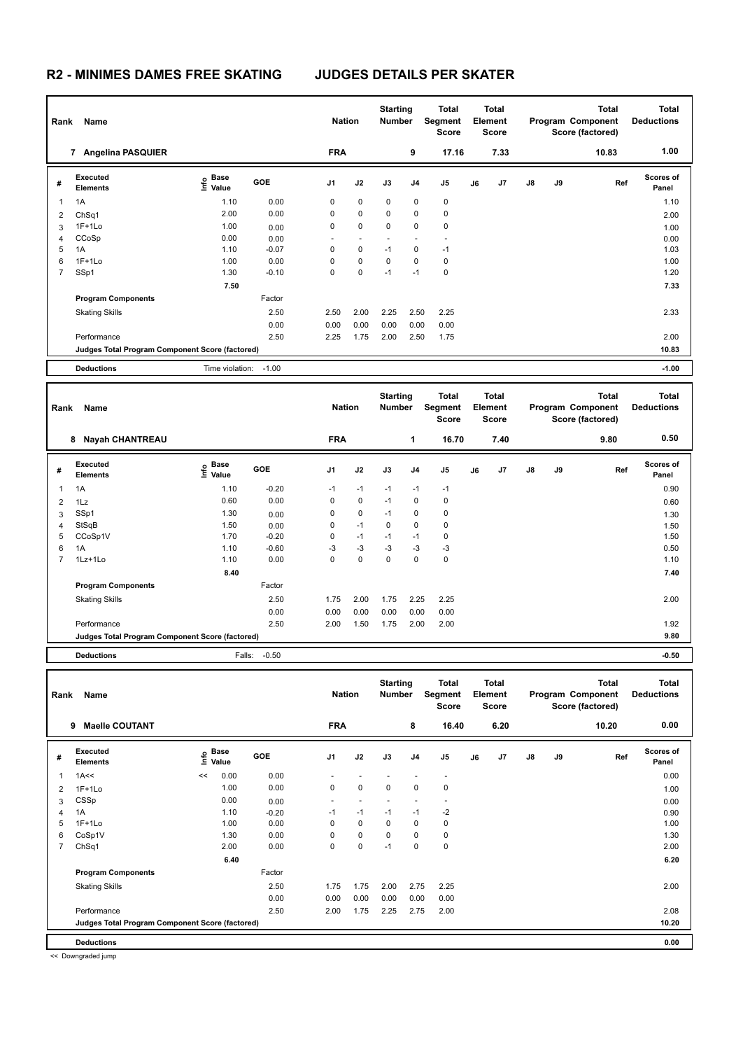| Rank           | Name<br><b>Angelina PASQUIER</b><br>7           |                                  |            |                          | <b>Nation</b> | <b>Starting</b><br><b>Number</b> |      | <b>Total</b><br>Segment<br><b>Score</b> |    | <b>Total</b><br>Element<br><b>Score</b> |               |    | <b>Total</b><br>Program Component<br>Score (factored) | <b>Total</b><br><b>Deductions</b> |
|----------------|-------------------------------------------------|----------------------------------|------------|--------------------------|---------------|----------------------------------|------|-----------------------------------------|----|-----------------------------------------|---------------|----|-------------------------------------------------------|-----------------------------------|
|                |                                                 |                                  |            | <b>FRA</b>               |               |                                  | 9    | 17.16                                   |    | 7.33                                    |               |    | 10.83                                                 | 1.00                              |
| #              | Executed<br><b>Elements</b>                     | <b>Base</b><br>e Base<br>⊆ Value | <b>GOE</b> | J <sub>1</sub>           | J2            | J3                               | J4   | J5                                      | J6 | J <sub>7</sub>                          | $\mathsf{J}8$ | J9 | Ref                                                   | Scores of<br>Panel                |
| 1              | 1A                                              | 1.10                             | 0.00       | 0                        | $\mathbf 0$   | $\mathbf 0$                      | 0    | 0                                       |    |                                         |               |    |                                                       | 1.10                              |
| 2              | ChSq1                                           | 2.00                             | 0.00       | 0                        | $\mathbf 0$   | 0                                | 0    | $\mathbf 0$                             |    |                                         |               |    |                                                       | 2.00                              |
| 3              | $1F+1Lo$                                        | 1.00                             | 0.00       | 0                        | 0             | 0                                | 0    | $\mathbf 0$                             |    |                                         |               |    |                                                       | 1.00                              |
| 4              | CCoSp                                           | 0.00                             | 0.00       | $\overline{\phantom{0}}$ |               |                                  |      | $\overline{\phantom{a}}$                |    |                                         |               |    |                                                       | 0.00                              |
| 5              | 1A                                              | 1.10                             | $-0.07$    | 0                        | $\mathbf 0$   | $-1$                             | 0    | $-1$                                    |    |                                         |               |    |                                                       | 1.03                              |
| 6              | $1F+1Lo$                                        | 1.00                             | 0.00       | 0                        | $\mathbf 0$   | 0                                | 0    | 0                                       |    |                                         |               |    |                                                       | 1.00                              |
| $\overline{7}$ | SSp1                                            | 1.30                             | $-0.10$    | 0                        | 0             | $-1$                             | $-1$ | $\mathbf 0$                             |    |                                         |               |    |                                                       | 1.20                              |
|                |                                                 | 7.50                             |            |                          |               |                                  |      |                                         |    |                                         |               |    |                                                       | 7.33                              |
|                | <b>Program Components</b>                       |                                  | Factor     |                          |               |                                  |      |                                         |    |                                         |               |    |                                                       |                                   |
|                | <b>Skating Skills</b>                           |                                  | 2.50       | 2.50                     | 2.00          | 2.25                             | 2.50 | 2.25                                    |    |                                         |               |    |                                                       | 2.33                              |
|                |                                                 |                                  | 0.00       | 0.00                     | 0.00          | 0.00                             | 0.00 | 0.00                                    |    |                                         |               |    |                                                       |                                   |
|                | Performance                                     |                                  | 2.50       | 2.25                     | 1.75          | 2.00                             | 2.50 | 1.75                                    |    |                                         |               |    |                                                       | 2.00                              |
|                | Judges Total Program Component Score (factored) |                                  |            |                          |               |                                  |      |                                         |    |                                         |               |    |                                                       | 10.83                             |
|                | <b>Deductions</b>                               | Time violation:                  | $-1.00$    |                          |               |                                  |      |                                         |    |                                         |               |    |                                                       | $-1.00$                           |

| Rank           | Name                                            |                                             |            | <b>Nation</b>  |             | <b>Starting</b><br><b>Number</b> |                | <b>Total</b><br>Segment<br><b>Score</b> |    | <b>Total</b><br>Element<br><b>Score</b> |               |    | <b>Total</b><br>Program Component<br>Score (factored) | <b>Total</b><br><b>Deductions</b> |
|----------------|-------------------------------------------------|---------------------------------------------|------------|----------------|-------------|----------------------------------|----------------|-----------------------------------------|----|-----------------------------------------|---------------|----|-------------------------------------------------------|-----------------------------------|
|                | <b>Nayah CHANTREAU</b><br>8                     |                                             |            | <b>FRA</b>     |             |                                  | 1              | 16.70                                   |    | 7.40                                    |               |    | 9.80                                                  | 0.50                              |
| #              | <b>Executed</b><br><b>Elements</b>              | <b>Base</b><br>e <sup>Base</sup><br>⊆ Value | <b>GOE</b> | J <sub>1</sub> | J2          | J3                               | J <sub>4</sub> | J <sub>5</sub>                          | J6 | J7                                      | $\mathsf{J}8$ | J9 | Ref                                                   | <b>Scores of</b><br>Panel         |
| 1              | 1A                                              | 1.10                                        | $-0.20$    | $-1$           | $-1$        | $-1$                             | $-1$           | $-1$                                    |    |                                         |               |    |                                                       | 0.90                              |
| 2              | 1Lz                                             | 0.60                                        | 0.00       | 0              | 0           | $-1$                             | 0              | 0                                       |    |                                         |               |    |                                                       | 0.60                              |
| 3              | SSp1                                            | 1.30                                        | 0.00       | 0              | $\mathbf 0$ | $-1$                             | 0              | 0                                       |    |                                         |               |    |                                                       | 1.30                              |
| 4              | StSqB                                           | 1.50                                        | 0.00       | 0              | $-1$        | $\Omega$                         | 0              | 0                                       |    |                                         |               |    |                                                       | 1.50                              |
| 5              | CCoSp1V                                         | 1.70                                        | $-0.20$    | 0              | $-1$        | $-1$                             | $-1$           | 0                                       |    |                                         |               |    |                                                       | 1.50                              |
| 6              | 1A                                              | 1.10                                        | $-0.60$    | $-3$           | $-3$        | $-3$                             | $-3$           | $-3$                                    |    |                                         |               |    |                                                       | 0.50                              |
| $\overline{7}$ | 1Lz+1Lo                                         | 1.10                                        | 0.00       | 0              | $\mathbf 0$ | $\mathbf 0$                      | $\Omega$       | $\mathbf 0$                             |    |                                         |               |    |                                                       | 1.10                              |
|                |                                                 | 8.40                                        |            |                |             |                                  |                |                                         |    |                                         |               |    |                                                       | 7.40                              |
|                | <b>Program Components</b>                       |                                             | Factor     |                |             |                                  |                |                                         |    |                                         |               |    |                                                       |                                   |
|                | <b>Skating Skills</b>                           |                                             | 2.50       | 1.75           | 2.00        | 1.75                             | 2.25           | 2.25                                    |    |                                         |               |    |                                                       | 2.00                              |
|                |                                                 |                                             | 0.00       | 0.00           | 0.00        | 0.00                             | 0.00           | 0.00                                    |    |                                         |               |    |                                                       |                                   |
|                | Performance                                     |                                             | 2.50       | 2.00           | 1.50        | 1.75                             | 2.00           | 2.00                                    |    |                                         |               |    |                                                       | 1.92                              |
|                | Judges Total Program Component Score (factored) |                                             |            |                |             |                                  |                |                                         |    |                                         |               |    |                                                       | 9.80                              |
|                | <b>Deductions</b>                               | Falls:                                      | $-0.50$    |                |             |                                  |                |                                         |    |                                         |               |    |                                                       | $-0.50$                           |

| Rank           | Name<br><b>Maelle COUTANT</b><br>9              |    |                           |         | <b>Nation</b>  |             | <b>Starting</b><br><b>Number</b> |                | <b>Total</b><br>Segment<br><b>Score</b> |    | <b>Total</b><br><b>Element</b><br><b>Score</b> |               |    | <b>Total</b><br>Program Component<br>Score (factored) | <b>Total</b><br><b>Deductions</b> |
|----------------|-------------------------------------------------|----|---------------------------|---------|----------------|-------------|----------------------------------|----------------|-----------------------------------------|----|------------------------------------------------|---------------|----|-------------------------------------------------------|-----------------------------------|
|                |                                                 |    |                           |         | <b>FRA</b>     |             |                                  | 8              | 16.40                                   |    | 6.20                                           |               |    | 10.20                                                 | 0.00                              |
| #              | Executed<br><b>Elements</b>                     |    | Base<br>o Base<br>⊆ Value | GOE     | J <sub>1</sub> | J2          | J3                               | J <sub>4</sub> | J5                                      | J6 | J <sub>7</sub>                                 | $\mathsf{J}8$ | J9 | Ref                                                   | <b>Scores of</b><br>Panel         |
| 1              | 1A<<                                            | << | 0.00                      | 0.00    |                |             |                                  |                | $\overline{\phantom{a}}$                |    |                                                |               |    |                                                       | 0.00                              |
| $\overline{2}$ | $1F+1Lo$                                        |    | 1.00                      | 0.00    | 0              | $\mathbf 0$ | $\mathbf 0$                      | 0              | 0                                       |    |                                                |               |    |                                                       | 1.00                              |
| 3              | CSSp                                            |    | 0.00                      | 0.00    |                |             |                                  |                | $\overline{\phantom{a}}$                |    |                                                |               |    |                                                       | 0.00                              |
| 4              | 1A                                              |    | 1.10                      | $-0.20$ | $-1$           | $-1$        | $-1$                             | $-1$           | $-2$                                    |    |                                                |               |    |                                                       | 0.90                              |
| 5              | $1F+1Lo$                                        |    | 1.00                      | 0.00    | 0              | $\mathbf 0$ | $\mathbf 0$                      | 0              | 0                                       |    |                                                |               |    |                                                       | 1.00                              |
| 6              | CoSp1V                                          |    | 1.30                      | 0.00    | 0              | 0           | $\mathbf 0$                      | $\mathbf 0$    | 0                                       |    |                                                |               |    |                                                       | 1.30                              |
| 7              | ChSq1                                           |    | 2.00                      | 0.00    | 0              | 0           | $-1$                             | 0              | 0                                       |    |                                                |               |    |                                                       | 2.00                              |
|                |                                                 |    | 6.40                      |         |                |             |                                  |                |                                         |    |                                                |               |    |                                                       | 6.20                              |
|                | <b>Program Components</b>                       |    |                           | Factor  |                |             |                                  |                |                                         |    |                                                |               |    |                                                       |                                   |
|                | <b>Skating Skills</b>                           |    |                           | 2.50    | 1.75           | 1.75        | 2.00                             | 2.75           | 2.25                                    |    |                                                |               |    |                                                       | 2.00                              |
|                |                                                 |    |                           | 0.00    | 0.00           | 0.00        | 0.00                             | 0.00           | 0.00                                    |    |                                                |               |    |                                                       |                                   |
|                | Performance                                     |    |                           | 2.50    | 2.00           | 1.75        | 2.25                             | 2.75           | 2.00                                    |    |                                                |               |    |                                                       | 2.08                              |
|                | Judges Total Program Component Score (factored) |    |                           |         |                |             |                                  |                |                                         |    |                                                |               |    |                                                       | 10.20                             |
|                | <b>Deductions</b>                               |    |                           |         |                |             |                                  |                |                                         |    |                                                |               |    |                                                       | 0.00                              |

<< Downgraded jump